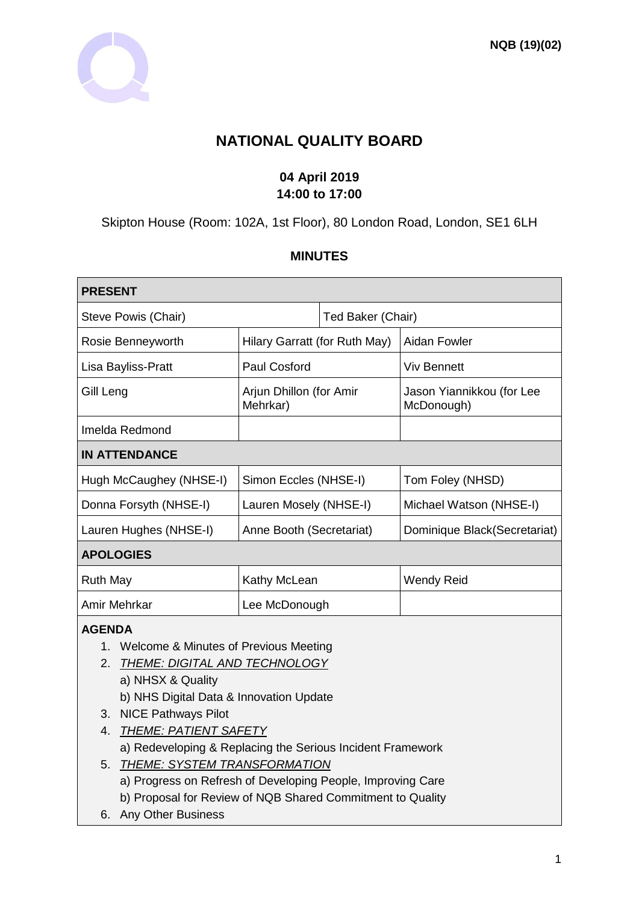

# **NATIONAL QUALITY BOARD**

# **04 April 2019 14:00 to 17:00**

Skipton House (Room: 102A, 1st Floor), 80 London Road, London, SE1 6LH

### **MINUTES**

| <b>PRESENT</b>                                                                                                                                                                                                                                                                                                                                                                                                                                                        |                                     |                                         |  |
|-----------------------------------------------------------------------------------------------------------------------------------------------------------------------------------------------------------------------------------------------------------------------------------------------------------------------------------------------------------------------------------------------------------------------------------------------------------------------|-------------------------------------|-----------------------------------------|--|
| Steve Powis (Chair)                                                                                                                                                                                                                                                                                                                                                                                                                                                   | Ted Baker (Chair)                   |                                         |  |
| Rosie Benneyworth                                                                                                                                                                                                                                                                                                                                                                                                                                                     | Hilary Garratt (for Ruth May)       | <b>Aidan Fowler</b>                     |  |
| Lisa Bayliss-Pratt                                                                                                                                                                                                                                                                                                                                                                                                                                                    | Paul Cosford                        | <b>Viv Bennett</b>                      |  |
| Gill Leng                                                                                                                                                                                                                                                                                                                                                                                                                                                             | Arjun Dhillon (for Amir<br>Mehrkar) | Jason Yiannikkou (for Lee<br>McDonough) |  |
| Imelda Redmond                                                                                                                                                                                                                                                                                                                                                                                                                                                        |                                     |                                         |  |
| <b>IN ATTENDANCE</b>                                                                                                                                                                                                                                                                                                                                                                                                                                                  |                                     |                                         |  |
| Hugh McCaughey (NHSE-I)                                                                                                                                                                                                                                                                                                                                                                                                                                               | Simon Eccles (NHSE-I)               | Tom Foley (NHSD)                        |  |
| Donna Forsyth (NHSE-I)                                                                                                                                                                                                                                                                                                                                                                                                                                                | Lauren Mosely (NHSE-I)              | Michael Watson (NHSE-I)                 |  |
| Lauren Hughes (NHSE-I)                                                                                                                                                                                                                                                                                                                                                                                                                                                | Anne Booth (Secretariat)            | Dominique Black(Secretariat)            |  |
| <b>APOLOGIES</b>                                                                                                                                                                                                                                                                                                                                                                                                                                                      |                                     |                                         |  |
| <b>Ruth May</b>                                                                                                                                                                                                                                                                                                                                                                                                                                                       | Kathy McLean                        | <b>Wendy Reid</b>                       |  |
| Amir Mehrkar                                                                                                                                                                                                                                                                                                                                                                                                                                                          | Lee McDonough                       |                                         |  |
| <b>AGENDA</b><br>1. Welcome & Minutes of Previous Meeting<br>2.<br><b>THEME: DIGITAL AND TECHNOLOGY</b><br>a) NHSX & Quality<br>b) NHS Digital Data & Innovation Update<br>3. NICE Pathways Pilot<br>4. THEME: PATIENT SAFETY<br>a) Redeveloping & Replacing the Serious Incident Framework<br><b>THEME: SYSTEM TRANSFORMATION</b><br>5.<br>a) Progress on Refresh of Developing People, Improving Care<br>b) Proposal for Review of NQB Shared Commitment to Quality |                                     |                                         |  |
| 6. Any Other Business                                                                                                                                                                                                                                                                                                                                                                                                                                                 |                                     |                                         |  |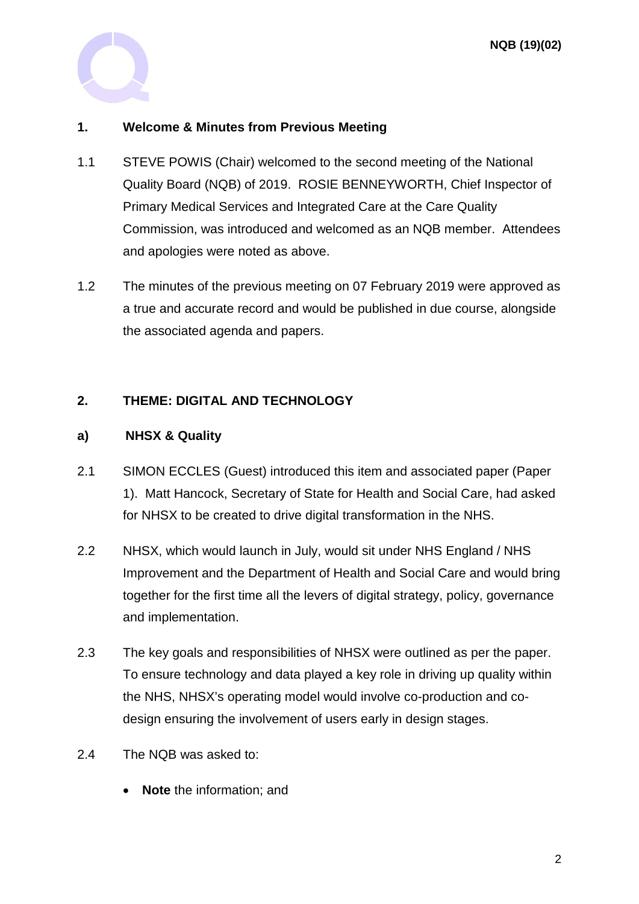

# **1. Welcome & Minutes from Previous Meeting**

- 1.1 STEVE POWIS (Chair) welcomed to the second meeting of the National Quality Board (NQB) of 2019. ROSIE BENNEYWORTH, Chief Inspector of Primary Medical Services and Integrated Care at the Care Quality Commission, was introduced and welcomed as an NQB member. Attendees and apologies were noted as above.
- 1.2 The minutes of the previous meeting on 07 February 2019 were approved as a true and accurate record and would be published in due course, alongside the associated agenda and papers.

# **2. THEME: DIGITAL AND TECHNOLOGY**

### **a) NHSX & Quality**

- 2.1 SIMON ECCLES (Guest) introduced this item and associated paper (Paper 1). Matt Hancock, Secretary of State for Health and Social Care, had asked for NHSX to be created to drive digital transformation in the NHS.
- 2.2 NHSX, which would launch in July, would sit under NHS England / NHS Improvement and the Department of Health and Social Care and would bring together for the first time all the levers of digital strategy, policy, governance and implementation.
- 2.3 The key goals and responsibilities of NHSX were outlined as per the paper. To ensure technology and data played a key role in driving up quality within the NHS, NHSX's operating model would involve co-production and codesign ensuring the involvement of users early in design stages.
- 2.4 The NQB was asked to:
	- **Note** the information; and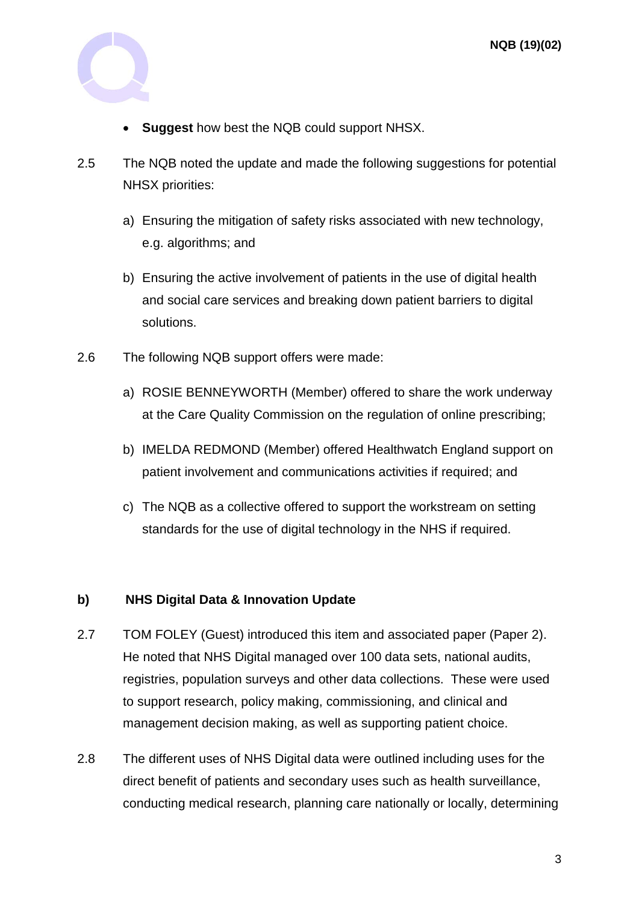

- **Suggest** how best the NQB could support NHSX.
- 2.5 The NQB noted the update and made the following suggestions for potential NHSX priorities:
	- a) Ensuring the mitigation of safety risks associated with new technology, e.g. algorithms; and
	- b) Ensuring the active involvement of patients in the use of digital health and social care services and breaking down patient barriers to digital solutions.
- 2.6 The following NQB support offers were made:
	- a) ROSIE BENNEYWORTH (Member) offered to share the work underway at the Care Quality Commission on the regulation of online prescribing;
	- b) IMELDA REDMOND (Member) offered Healthwatch England support on patient involvement and communications activities if required; and
	- c) The NQB as a collective offered to support the workstream on setting standards for the use of digital technology in the NHS if required.

# **b) NHS Digital Data & Innovation Update**

- 2.7 TOM FOLEY (Guest) introduced this item and associated paper (Paper 2). He noted that NHS Digital managed over 100 data sets, national audits, registries, population surveys and other data collections. These were used to support research, policy making, commissioning, and clinical and management decision making, as well as supporting patient choice.
- 2.8 The different uses of NHS Digital data were outlined including uses for the direct benefit of patients and secondary uses such as health surveillance, conducting medical research, planning care nationally or locally, determining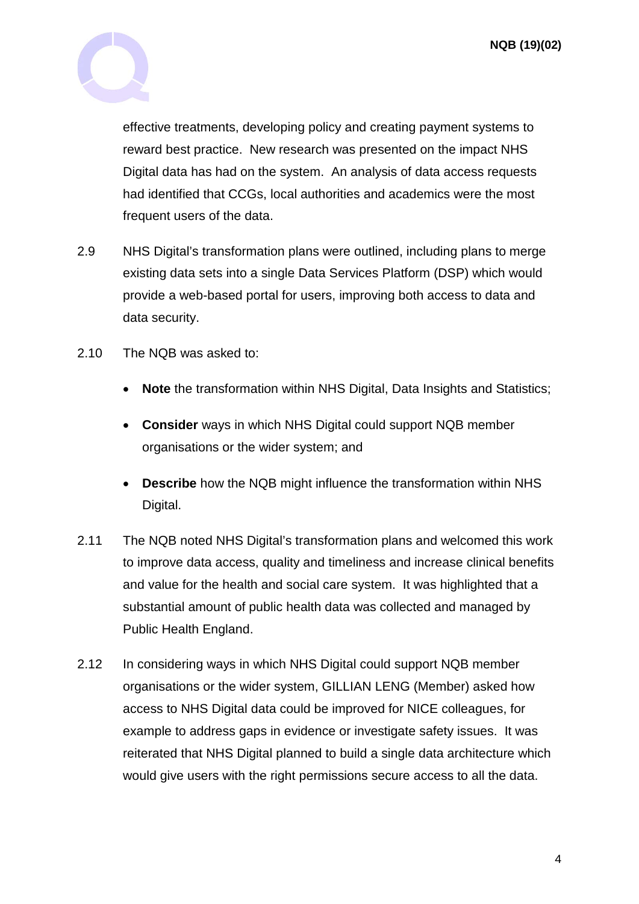

effective treatments, developing policy and creating payment systems to reward best practice. New research was presented on the impact NHS Digital data has had on the system. An analysis of data access requests had identified that CCGs, local authorities and academics were the most frequent users of the data.

- 2.9 NHS Digital's transformation plans were outlined, including plans to merge existing data sets into a single Data Services Platform (DSP) which would provide a web-based portal for users, improving both access to data and data security.
- 2.10 The NQB was asked to:
	- **Note** the transformation within NHS Digital, Data Insights and Statistics;
	- **Consider** ways in which NHS Digital could support NQB member organisations or the wider system; and
	- **Describe** how the NQB might influence the transformation within NHS Digital.
- 2.11 The NQB noted NHS Digital's transformation plans and welcomed this work to improve data access, quality and timeliness and increase clinical benefits and value for the health and social care system. It was highlighted that a substantial amount of public health data was collected and managed by Public Health England.
- 2.12 In considering ways in which NHS Digital could support NQB member organisations or the wider system, GILLIAN LENG (Member) asked how access to NHS Digital data could be improved for NICE colleagues, for example to address gaps in evidence or investigate safety issues. It was reiterated that NHS Digital planned to build a single data architecture which would give users with the right permissions secure access to all the data.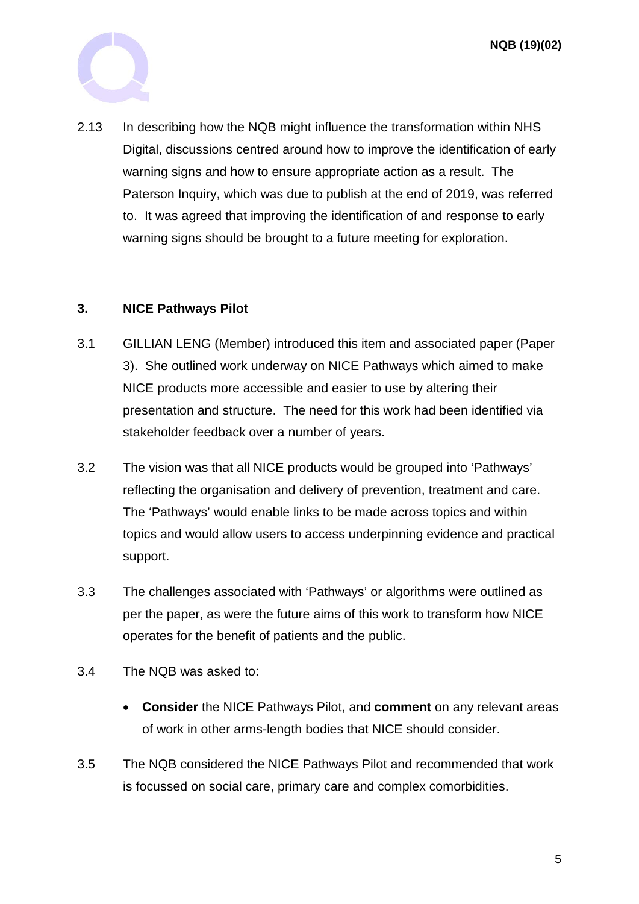

2.13 In describing how the NQB might influence the transformation within NHS Digital, discussions centred around how to improve the identification of early warning signs and how to ensure appropriate action as a result. The Paterson Inquiry, which was due to publish at the end of 2019, was referred to. It was agreed that improving the identification of and response to early warning signs should be brought to a future meeting for exploration.

### **3. NICE Pathways Pilot**

- 3.1 GILLIAN LENG (Member) introduced this item and associated paper (Paper 3). She outlined work underway on NICE Pathways which aimed to make NICE products more accessible and easier to use by altering their presentation and structure. The need for this work had been identified via stakeholder feedback over a number of years.
- 3.2 The vision was that all NICE products would be grouped into 'Pathways' reflecting the organisation and delivery of prevention, treatment and care. The 'Pathways' would enable links to be made across topics and within topics and would allow users to access underpinning evidence and practical support.
- 3.3 The challenges associated with 'Pathways' or algorithms were outlined as per the paper, as were the future aims of this work to transform how NICE operates for the benefit of patients and the public.
- 3.4 The NQB was asked to:
	- **Consider** the NICE Pathways Pilot, and **comment** on any relevant areas of work in other arms-length bodies that NICE should consider.
- 3.5 The NQB considered the NICE Pathways Pilot and recommended that work is focussed on social care, primary care and complex comorbidities.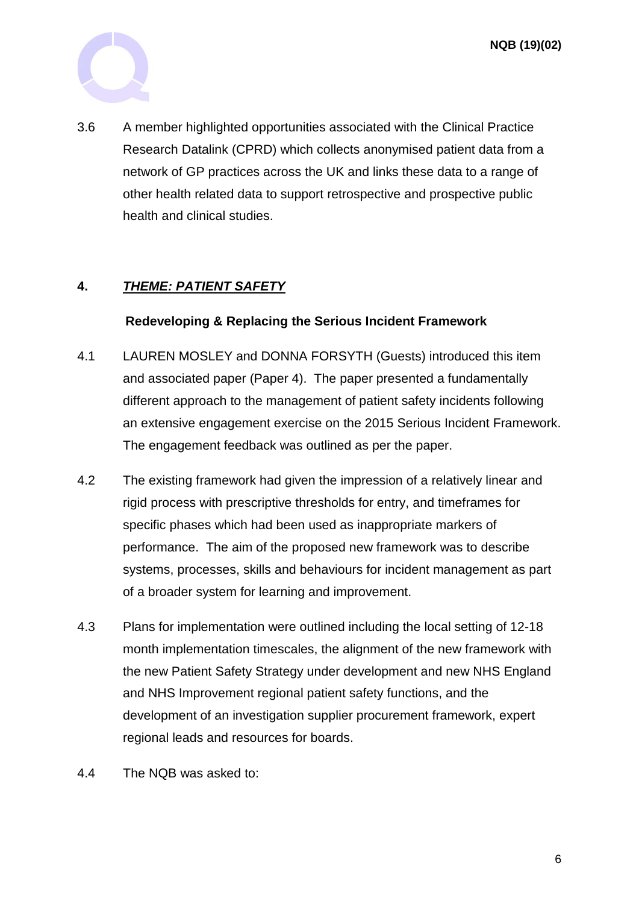

3.6 A member highlighted opportunities associated with the Clinical Practice Research Datalink (CPRD) which collects anonymised patient data from a network of GP practices across the UK and links these data to a range of other health related data to support retrospective and prospective public health and clinical studies.

# **4.** *THEME: PATIENT SAFETY*

#### **Redeveloping & Replacing the Serious Incident Framework**

- 4.1 LAUREN MOSLEY and DONNA FORSYTH (Guests) introduced this item and associated paper (Paper 4). The paper presented a fundamentally different approach to the management of patient safety incidents following an extensive engagement exercise on the 2015 Serious Incident Framework. The engagement feedback was outlined as per the paper.
- 4.2 The existing framework had given the impression of a relatively linear and rigid process with prescriptive thresholds for entry, and timeframes for specific phases which had been used as inappropriate markers of performance. The aim of the proposed new framework was to describe systems, processes, skills and behaviours for incident management as part of a broader system for learning and improvement.
- 4.3 Plans for implementation were outlined including the local setting of 12-18 month implementation timescales, the alignment of the new framework with the new Patient Safety Strategy under development and new NHS England and NHS Improvement regional patient safety functions, and the development of an investigation supplier procurement framework, expert regional leads and resources for boards.
- 4.4 The NQB was asked to: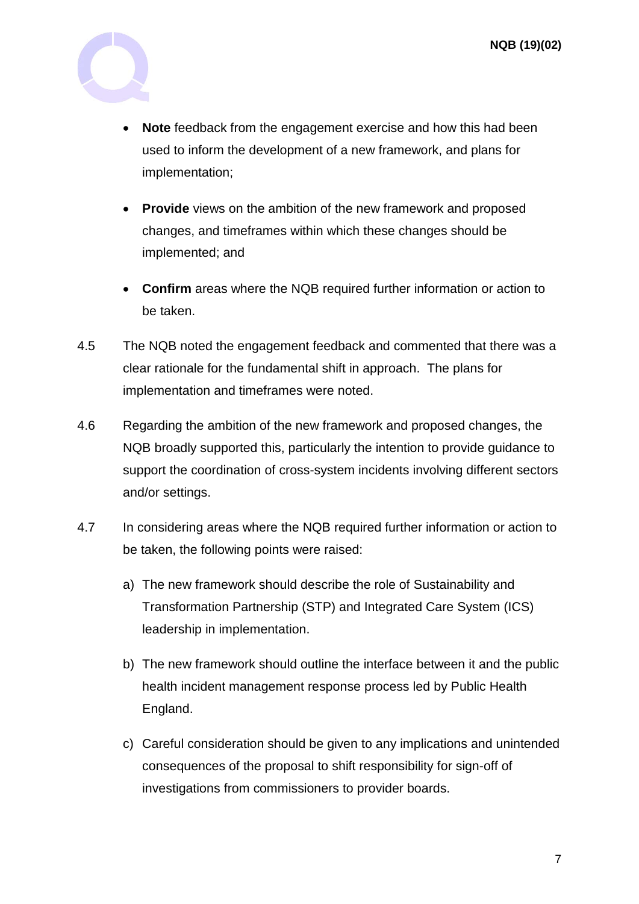

- **Note** feedback from the engagement exercise and how this had been used to inform the development of a new framework, and plans for implementation;
- **Provide** views on the ambition of the new framework and proposed changes, and timeframes within which these changes should be implemented; and
- **Confirm** areas where the NQB required further information or action to be taken.
- 4.5 The NQB noted the engagement feedback and commented that there was a clear rationale for the fundamental shift in approach. The plans for implementation and timeframes were noted.
- 4.6 Regarding the ambition of the new framework and proposed changes, the NQB broadly supported this, particularly the intention to provide guidance to support the coordination of cross-system incidents involving different sectors and/or settings.
- 4.7 In considering areas where the NQB required further information or action to be taken, the following points were raised:
	- a) The new framework should describe the role of Sustainability and Transformation Partnership (STP) and Integrated Care System (ICS) leadership in implementation.
	- b) The new framework should outline the interface between it and the public health incident management response process led by Public Health England.
	- c) Careful consideration should be given to any implications and unintended consequences of the proposal to shift responsibility for sign-off of investigations from commissioners to provider boards.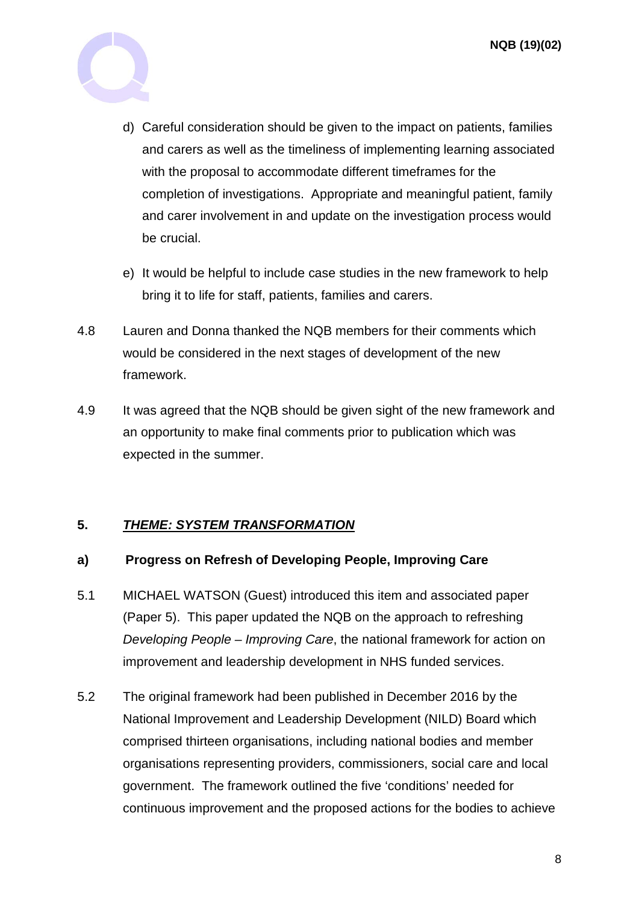

- d) Careful consideration should be given to the impact on patients, families and carers as well as the timeliness of implementing learning associated with the proposal to accommodate different timeframes for the completion of investigations. Appropriate and meaningful patient, family and carer involvement in and update on the investigation process would be crucial.
- e) It would be helpful to include case studies in the new framework to help bring it to life for staff, patients, families and carers.
- 4.8 Lauren and Donna thanked the NQB members for their comments which would be considered in the next stages of development of the new framework.
- 4.9 It was agreed that the NQB should be given sight of the new framework and an opportunity to make final comments prior to publication which was expected in the summer.

# **5.** *THEME: SYSTEM TRANSFORMATION*

# **a) Progress on Refresh of Developing People, Improving Care**

- 5.1 MICHAEL WATSON (Guest) introduced this item and associated paper (Paper 5). This paper updated the NQB on the approach to refreshing *Developing People – Improving Care*, the national framework for action on improvement and leadership development in NHS funded services.
- 5.2 The original framework had been published in December 2016 by the National Improvement and Leadership Development (NILD) Board which comprised thirteen organisations, including national bodies and member organisations representing providers, commissioners, social care and local government. The framework outlined the five 'conditions' needed for continuous improvement and the proposed actions for the bodies to achieve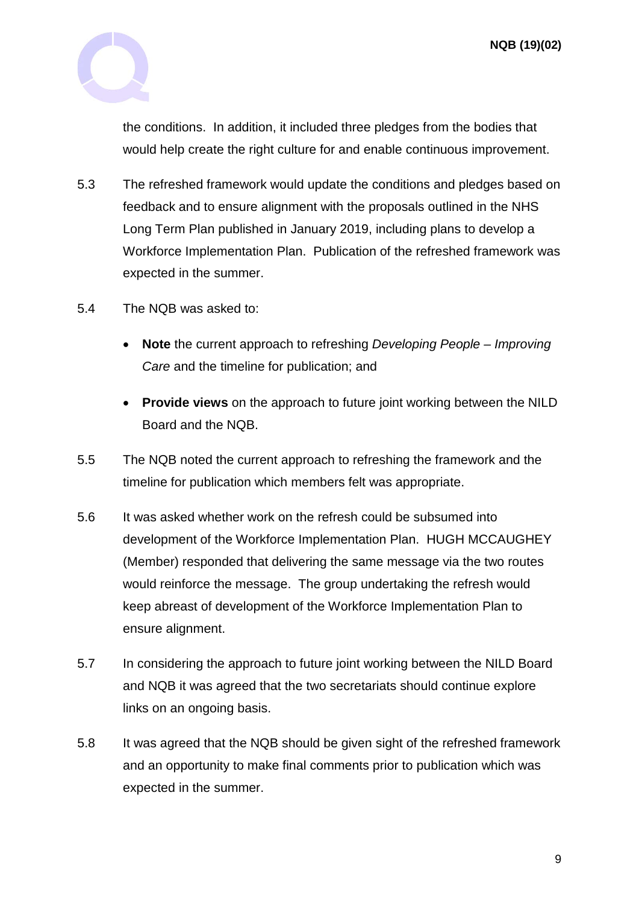

the conditions. In addition, it included three pledges from the bodies that would help create the right culture for and enable continuous improvement.

- 5.3 The refreshed framework would update the conditions and pledges based on feedback and to ensure alignment with the proposals outlined in the NHS Long Term Plan published in January 2019, including plans to develop a Workforce Implementation Plan. Publication of the refreshed framework was expected in the summer.
- 5.4 The NQB was asked to:
	- **Note** the current approach to refreshing *Developing People – Improving Care* and the timeline for publication; and
	- **Provide views** on the approach to future joint working between the NILD Board and the NQB.
- 5.5 The NQB noted the current approach to refreshing the framework and the timeline for publication which members felt was appropriate.
- 5.6 It was asked whether work on the refresh could be subsumed into development of the Workforce Implementation Plan. HUGH MCCAUGHEY (Member) responded that delivering the same message via the two routes would reinforce the message. The group undertaking the refresh would keep abreast of development of the Workforce Implementation Plan to ensure alignment.
- 5.7 In considering the approach to future joint working between the NILD Board and NQB it was agreed that the two secretariats should continue explore links on an ongoing basis.
- 5.8 It was agreed that the NQB should be given sight of the refreshed framework and an opportunity to make final comments prior to publication which was expected in the summer.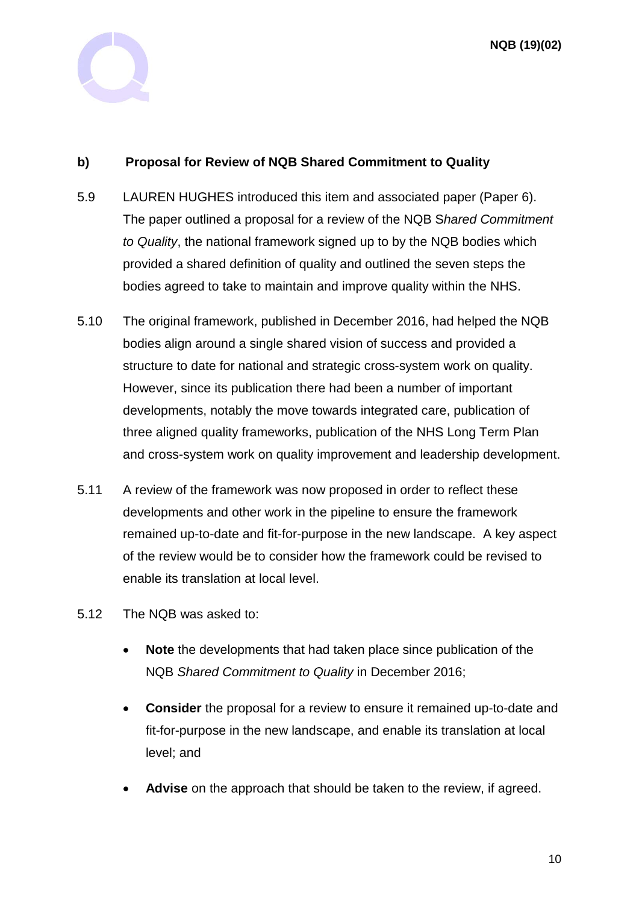

# **b) Proposal for Review of NQB Shared Commitment to Quality**

- 5.9 LAUREN HUGHES introduced this item and associated paper (Paper 6). The paper outlined a proposal for a review of the NQB S*hared Commitment to Quality*, the national framework signed up to by the NQB bodies which provided a shared definition of quality and outlined the seven steps the bodies agreed to take to maintain and improve quality within the NHS.
- 5.10 The original framework, published in December 2016, had helped the NQB bodies align around a single shared vision of success and provided a structure to date for national and strategic cross-system work on quality. However, since its publication there had been a number of important developments, notably the move towards integrated care, publication of three aligned quality frameworks, publication of the NHS Long Term Plan and cross-system work on quality improvement and leadership development.
- 5.11 A review of the framework was now proposed in order to reflect these developments and other work in the pipeline to ensure the framework remained up-to-date and fit-for-purpose in the new landscape. A key aspect of the review would be to consider how the framework could be revised to enable its translation at local level.
- 5.12 The NQB was asked to:
	- **Note** the developments that had taken place since publication of the NQB *Shared Commitment to Quality* in December 2016;
	- **Consider** the proposal for a review to ensure it remained up-to-date and fit-for-purpose in the new landscape, and enable its translation at local level; and
	- Advise on the approach that should be taken to the review, if agreed.